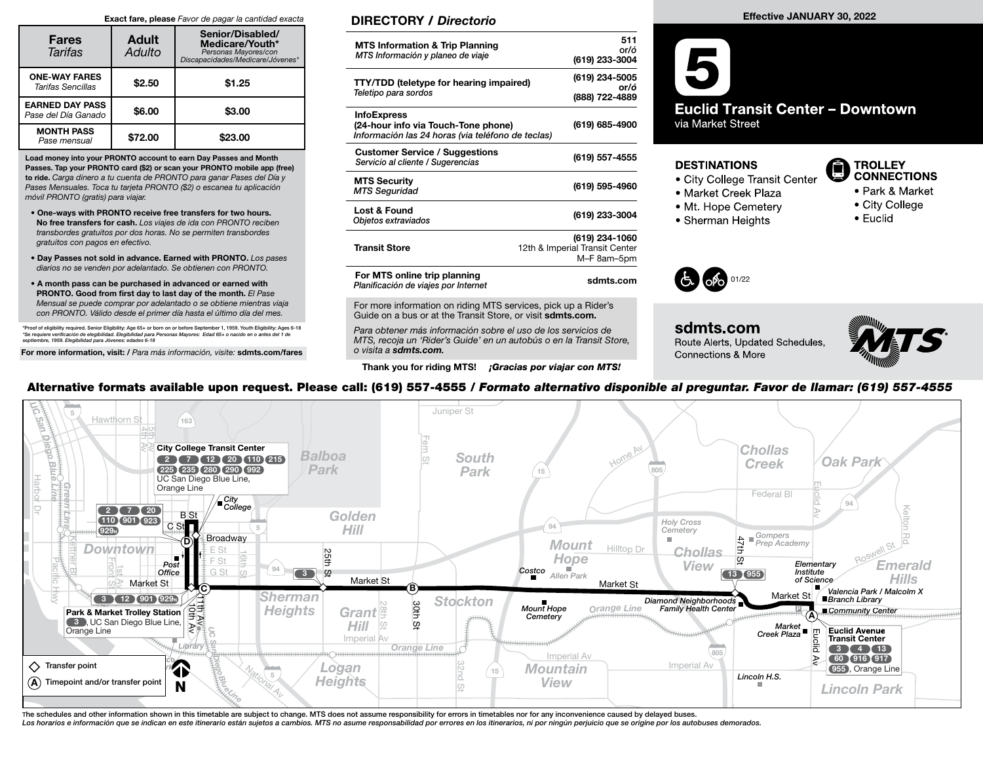#### Exact fare, please Favor de pagar la cantidad exacta

| <b>Fares</b><br><b>Tarifas</b>                | <b>Adult</b><br>Adulto | Senior/Disabled/<br>Medicare/Youth*<br>Personas Mayores/con<br>Discapacidades/Medicare/Jóvenes* |  |  |
|-----------------------------------------------|------------------------|-------------------------------------------------------------------------------------------------|--|--|
| <b>ONE-WAY FARES</b><br>Tarifas Sencillas     | \$2.50                 | \$1.25                                                                                          |  |  |
| <b>EARNED DAY PASS</b><br>Pase del Día Ganado | \$6.00                 | \$3.00                                                                                          |  |  |
| <b>MONTH PASS</b><br>Pase mensual             | \$72.00                | \$23.00                                                                                         |  |  |

Load money into your PRONTO account to earn Day Passes and Month Passes. Tap your PRONTO card (\$2) or scan your PRONTO mobile app (free) to ride. Carga dinero a tu cuenta de PRONTO para ganar Pases del Día y Pases Mensuales. Toca tu tarjeta PRONTO (\$2) o escanea tu aplicación móvil PRONTO (gratis) para viajar.

- One-ways with PRONTO receive free transfers for two hours. No free transfers for cash. Los viajes de ida con PRONTO reciben transbordes gratuitos por dos horas. No se permiten transbordes gratuitos con pagos en efectivo.
- Day Passes not sold in advance. Earned with PRONTO. Los pases diarios no se venden por adelantado. Se obtienen con PRONTO.
- A month pass can be purchased in advanced or earned with PRONTO. Good from first day to last day of the month. El Pase Mensual se puede comprar por adelantado o se obtiene mientras viaja con PRONTO. Válido desde el primer día hasta el último día del mes.

\*Proof of eligibility required. Senior Eligibility: Age 65+ or born on or before September 1, 1959. Youth Eligibility: Ages 6-18<br>\*Se requiere verificación de elegibilidad. Elegibilidad para Personas Mayores: Edad 65+ o na

For more information, visit: / Para más información, visite: sdmts.com/fares

### DIRECTORY / Directorio

| <b>MTS Information &amp; Trip Planning</b><br>MTS Información y planeo de viaje                                | 511<br>or/ó<br>(619) 233-3004                                   |
|----------------------------------------------------------------------------------------------------------------|-----------------------------------------------------------------|
| <b>TTY/TDD (teletype for hearing impaired)</b><br>Teletipo para sordos                                         | (619) 234-5005<br>or/ó<br>(888) 722-4889                        |
| <b>InfoExpress</b><br>(24-hour info via Touch-Tone phone)<br>Información las 24 horas (via teléfono de teclas) | (619) 685-4900                                                  |
| <b>Customer Service / Suggestions</b><br>Servicio al cliente / Sugerencias                                     | (619) 557-4555                                                  |
| <b>MTS Security</b><br><b>MTS Seguridad</b>                                                                    | (619) 595-4960                                                  |
| Lost & Found<br>Objetos extraviados                                                                            | (619) 233-3004                                                  |
| <b>Transit Store</b>                                                                                           | (619) 234-1060<br>12th & Imperial Transit Center<br>M-F 8am-5pm |
| For MTS online trip planning<br>Planificación de viajes por Internet                                           | sdmts.com                                                       |
|                                                                                                                |                                                                 |

For more information on riding MTS services, pick up a Rider's Guide on a bus or at the Transit Store, or visit sdmts.com.

Para obtener más información sobre el uso de los servicios de MTS, recoja un 'Rider's Guide' en un autobús o en la Transit Store, o visita a sdmts.com.

Thank you for riding MTS! **¡Gracias por viajar con MTS!** 

#### Effective JANUARY 30, 2022



#### **DESTINATIONS**

- City College Transit Center
- · Market Creek Plaza
- Mt. Hope Cemetery
- 
- Sherman Heights

### **TROLLEY CONNECTIONS**

- Park & Market
- - City College • Euclid



### sdmts.com Route Alerts, Updated Schedules, Connections & More



## Alternative formats available upon request. Please call: (619) 557-4555 / Formato alternativo disponible al preguntar. Favor de llamar: (619) 557-4555

| $\sqrt{2}$<br>Hawthorn St<br>bez<br>163<br>Diego<br><b>City College Transit Center</b><br>Balboa<br>7 (12 (20 (110 215)<br>$\begin{array}{c} \begin{array}{c} \hline \end{array} \end{array}$<br><b>Biue Line</b><br>Hue Line<br>Park<br>225 235 280 290 992<br>UC San Diego Blue Line,<br>Harbor<br>Orange Line<br>City<br>College<br>EŠ | Juniper St<br><b>South</b><br><b>Park</b>      | Home AV<br>805<br>15                                                                                                                                            | <b>Chollas</b><br><b>Oak Park</b><br><b>Creek</b><br>Federal BI                                                                                                                                                                 |
|-------------------------------------------------------------------------------------------------------------------------------------------------------------------------------------------------------------------------------------------------------------------------------------------------------------------------------------------|------------------------------------------------|-----------------------------------------------------------------------------------------------------------------------------------------------------------------|---------------------------------------------------------------------------------------------------------------------------------------------------------------------------------------------------------------------------------|
| $2$ $7$ $20$<br><b>Golden</b><br><b>B</b> St<br>110 901 923<br>CSt<br>Hill<br>929 <sub>N</sub><br>Broadway<br>D)<br><b>Downtown</b><br>25th<br>早<br>Post<br>Office<br>94<br>G St<br>$\Omega$<br>$\begin{array}{ c c } \hline 3 \\ \hline \end{array}$<br>Market St<br>Market St<br>ு $\epsilon$<br>Sherman<br>(3)(12)(901)(929)           | (B)<br><b>Stockton</b>                         | <b>Holy Cross</b><br>94<br>Cemetery<br><b>Mount</b><br>Hilltop Dr<br>Hope<br>Costco<br>Allen Park<br>Market St<br>Diamond Neighborhoods<br>Family Health Center | Gompers<br>Prep Academy<br>47th<br><b>Chollas</b><br>$\omega$<br>Elementary<br><b>Emerald</b><br>View<br>Institute<br>13 (955)<br><b>Hills</b><br>of Science<br>Valencia Park / Malcolm X<br>Market St<br><b>Branch Library</b> |
| <b>Heights</b><br>੍ਰਤੋਂ<br>Park & Market Trolley Station<br>Grant<br>3 , UC San Diego Blue Line,<br>HIII<br>Orange Line<br>Imperial Av<br>Library <b>1</b><br>$\Diamond$ Transfer point<br>4<br>Logan<br><b>REDIS</b><br>5<br><b>Heights</b><br>$(A)$ Timepoint and/or transfer point<br>nal Av<br>N                                      | 30th<br>ល្អ<br>Orange Line<br>32nd<br>15<br>CO | <b>Mount Hope</b><br>Orange Line<br>Cemetery<br>Imperial Av<br>Imperial Av<br>Mountain<br><b>View</b>                                                           | ■ Community Center<br>$Market$<br>Creek Plaza<br><b>Euclid Avenue</b><br><b>Transit Center</b><br>$3$ $\sqrt{4}$ $\sqrt{13}$<br>60 916 917<br>955, Orange Line<br>Lincoln H.S.<br><b>Lincoln Park</b>                           |

The schedules and other information shown in this timetable are subject to change. MTS does not assume responsibility for errors in timetables nor for any inconvenience caused by delayed buses.<br>Los horarios e información q